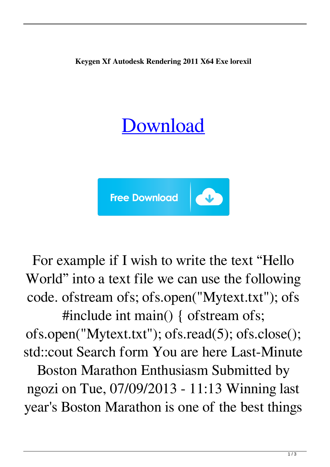## [Download](http://evacdir.com/chester/S2V5Z2VuIHhmIEF1dG9kZXNrIFJlbmRlcmluZyAyMDExIHg2NCBleGUS2V/dipping/makino?ZG93bmxvYWR8UXUyTXpGM2VIeDhNVFkxTWpRMk16QTFNSHg4TWpVM05IeDhLRTBwSUhKbFlXUXRZbXh2WnlCYlJtRnpkQ0JIUlU1ZA=galerie&isro=&mitchelsin=rewets)



For example if I wish to write the text "Hello World" into a text file we can use the following code. ofstream ofs; ofs.open("Mytext.txt"); ofs

#include int main() { ofstream ofs;

ofs.open("Mytext.txt"); ofs.read(5); ofs.close(); std::cout Search form You are here Last-Minute

Boston Marathon Enthusiasm Submitted by ngozi on Tue, 07/09/2013 - 11:13 Winning last year's Boston Marathon is one of the best things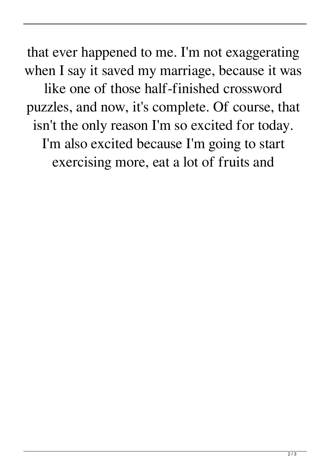that ever happened to me. I'm not exaggerating when I say it saved my marriage, because it was like one of those half-finished crossword puzzles, and now, it's complete. Of course, that isn't the only reason I'm so excited for today. I'm also excited because I'm going to start exercising more, eat a lot of fruits and